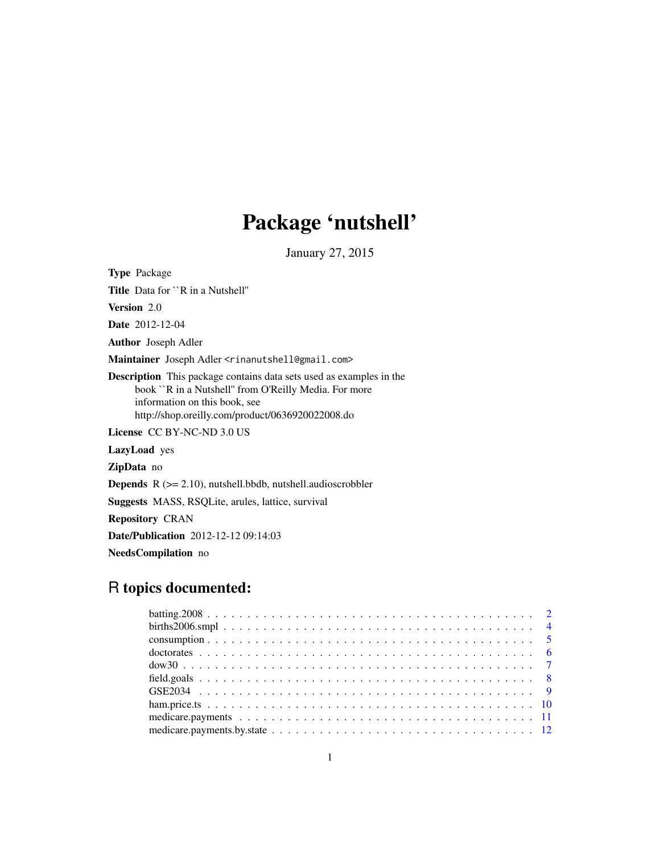# Package 'nutshell'

January 27, 2015

Type Package Title Data for ``R in a Nutshell'' Version 2.0 Date 2012-12-04 Author Joseph Adler Maintainer Joseph Adler <rinanutshell@gmail.com> Description This package contains data sets used as examples in the book ``R in a Nutshell'' from O'Reilly Media. For more information on this book, see http://shop.oreilly.com/product/0636920022008.do License CC BY-NC-ND 3.0 US LazyLoad yes ZipData no Depends R (>= 2.10), nutshell.bbdb, nutshell.audioscrobbler Suggests MASS, RSQLite, arules, lattice, survival Repository CRAN Date/Publication 2012-12-12 09:14:03 NeedsCompilation no

# R topics documented: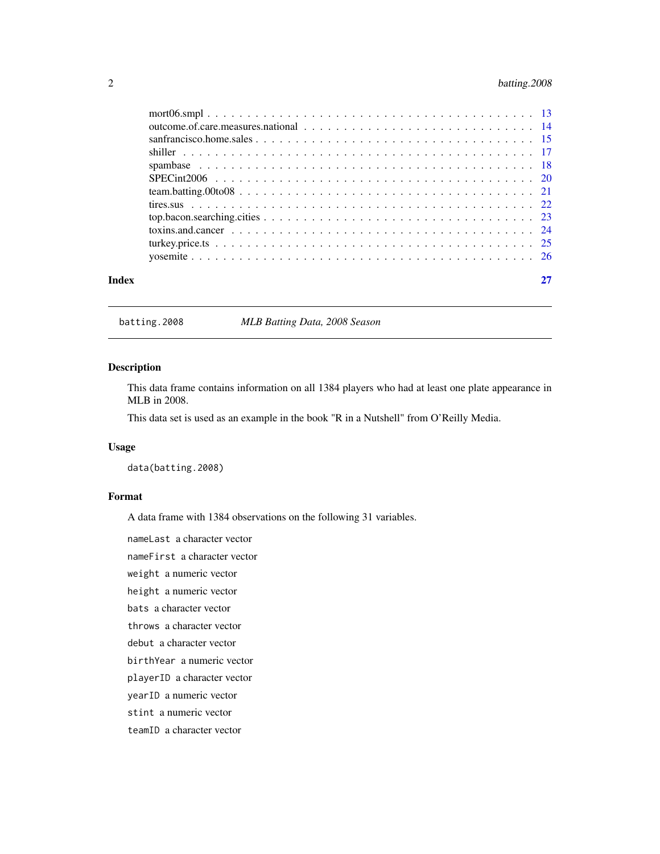# <span id="page-1-0"></span>2 batting.2008

| Index |  |
|-------|--|

batting.2008 *MLB Batting Data, 2008 Season*

# Description

This data frame contains information on all 1384 players who had at least one plate appearance in MLB in 2008.

This data set is used as an example in the book "R in a Nutshell" from O'Reilly Media.

#### Usage

data(batting.2008)

# Format

A data frame with 1384 observations on the following 31 variables.

nameLast a character vector

nameFirst a character vector

weight a numeric vector

height a numeric vector

bats a character vector

throws a character vector

debut a character vector

birthYear a numeric vector

playerID a character vector

yearID a numeric vector

stint a numeric vector

teamID a character vector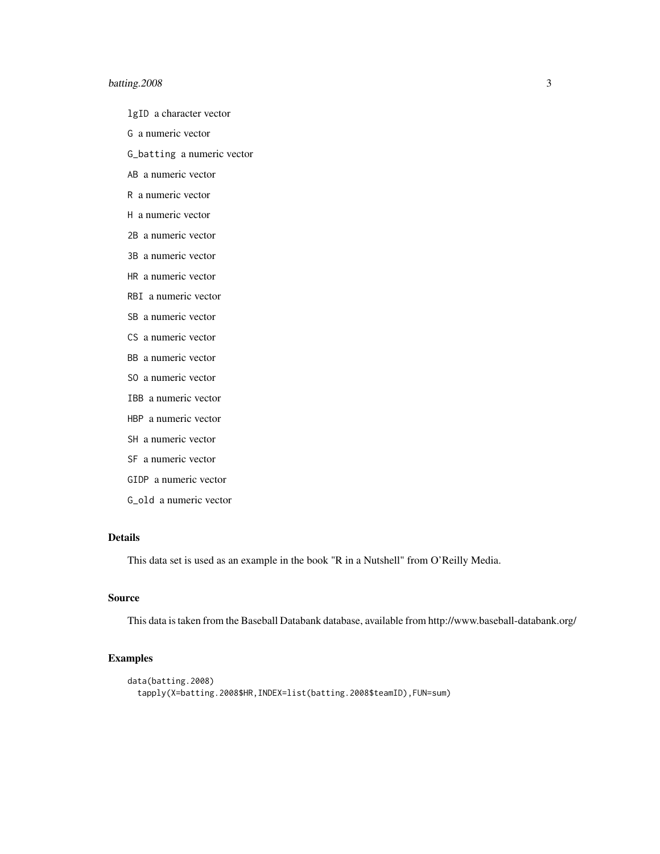# batting. 2008 3

- lgID a character vector
- G a numeric vector

G\_batting a numeric vector

AB a numeric vector

- R a numeric vector
- H a numeric vector
- 2B a numeric vector
- 3B a numeric vector
- HR a numeric vector
- RBI a numeric vector
- SB a numeric vector
- CS a numeric vector
- BB a numeric vector
- SO a numeric vector
- IBB a numeric vector
- HBP a numeric vector
- SH a numeric vector
- SF a numeric vector
- GIDP a numeric vector
- G\_old a numeric vector

#### Details

This data set is used as an example in the book "R in a Nutshell" from O'Reilly Media.

# Source

This data is taken from the Baseball Databank database, available from http://www.baseball-databank.org/

```
data(batting.2008)
 tapply(X=batting.2008$HR,INDEX=list(batting.2008$teamID),FUN=sum)
```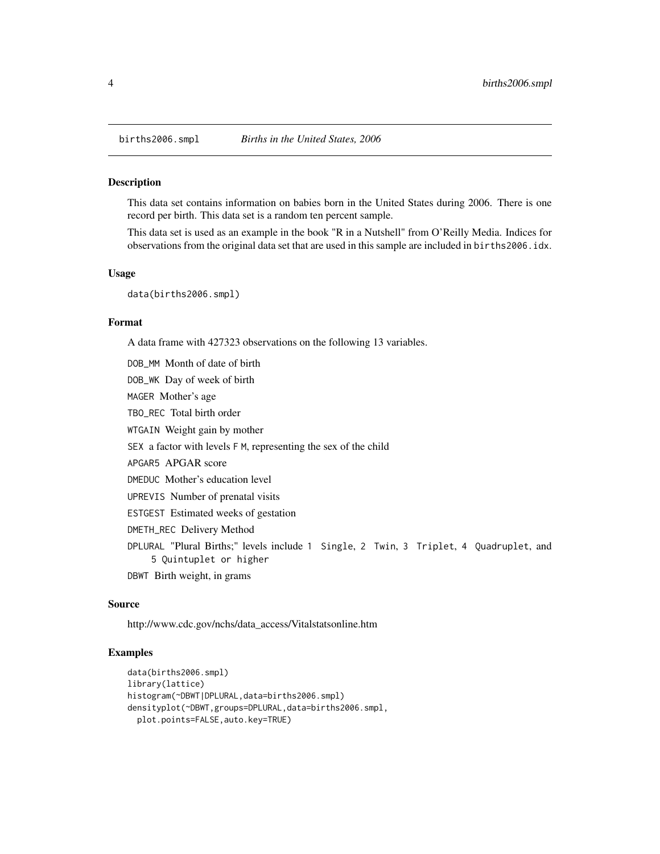<span id="page-3-0"></span>

This data set contains information on babies born in the United States during 2006. There is one record per birth. This data set is a random ten percent sample.

This data set is used as an example in the book "R in a Nutshell" from O'Reilly Media. Indices for observations from the original data set that are used in this sample are included in births2006.idx.

#### Usage

data(births2006.smpl)

# Format

A data frame with 427323 observations on the following 13 variables.

DOB\_MM Month of date of birth

DOB\_WK Day of week of birth

MAGER Mother's age

TBO\_REC Total birth order

WTGAIN Weight gain by mother

SEX a factor with levels F M, representing the sex of the child

APGAR5 APGAR score

DMEDUC Mother's education level

UPREVIS Number of prenatal visits

ESTGEST Estimated weeks of gestation

DMETH\_REC Delivery Method

DPLURAL "Plural Births;" levels include 1 Single, 2 Twin, 3 Triplet, 4 Quadruplet, and 5 Quintuplet or higher

DBWT Birth weight, in grams

# Source

http://www.cdc.gov/nchs/data\_access/Vitalstatsonline.htm

```
data(births2006.smpl)
library(lattice)
histogram(~DBWT|DPLURAL,data=births2006.smpl)
densityplot(~DBWT,groups=DPLURAL,data=births2006.smpl,
 plot.points=FALSE,auto.key=TRUE)
```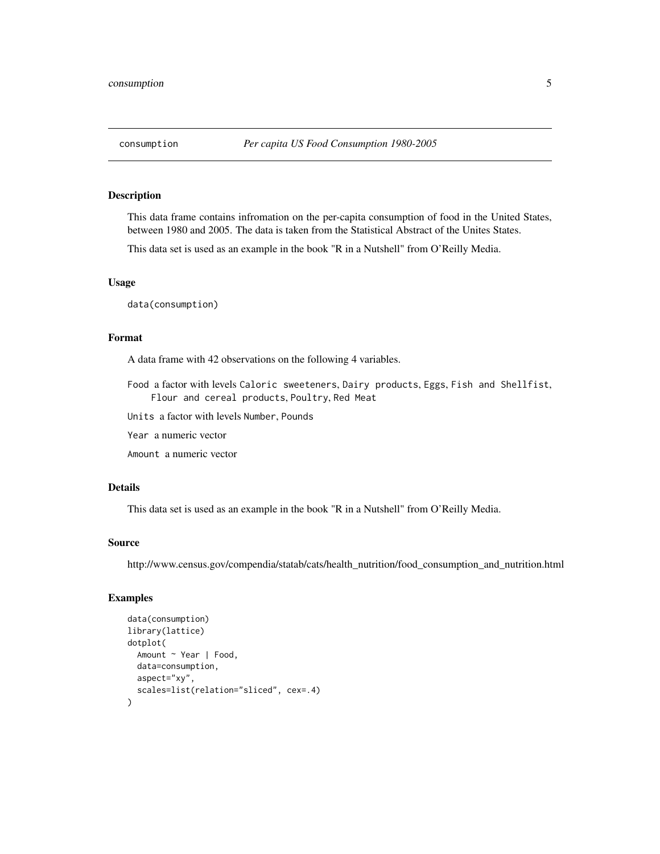<span id="page-4-0"></span>This data frame contains infromation on the per-capita consumption of food in the United States, between 1980 and 2005. The data is taken from the Statistical Abstract of the Unites States.

This data set is used as an example in the book "R in a Nutshell" from O'Reilly Media.

#### Usage

data(consumption)

# Format

A data frame with 42 observations on the following 4 variables.

Food a factor with levels Caloric sweeteners, Dairy products, Eggs, Fish and Shellfist, Flour and cereal products, Poultry, Red Meat

Units a factor with levels Number, Pounds

Year a numeric vector

Amount a numeric vector

# Details

This data set is used as an example in the book "R in a Nutshell" from O'Reilly Media.

#### Source

http://www.census.gov/compendia/statab/cats/health\_nutrition/food\_consumption\_and\_nutrition.html

```
data(consumption)
library(lattice)
dotplot(
 Amount ~ Year | Food,
 data=consumption,
 aspect="xy",
 scales=list(relation="sliced", cex=.4)
)
```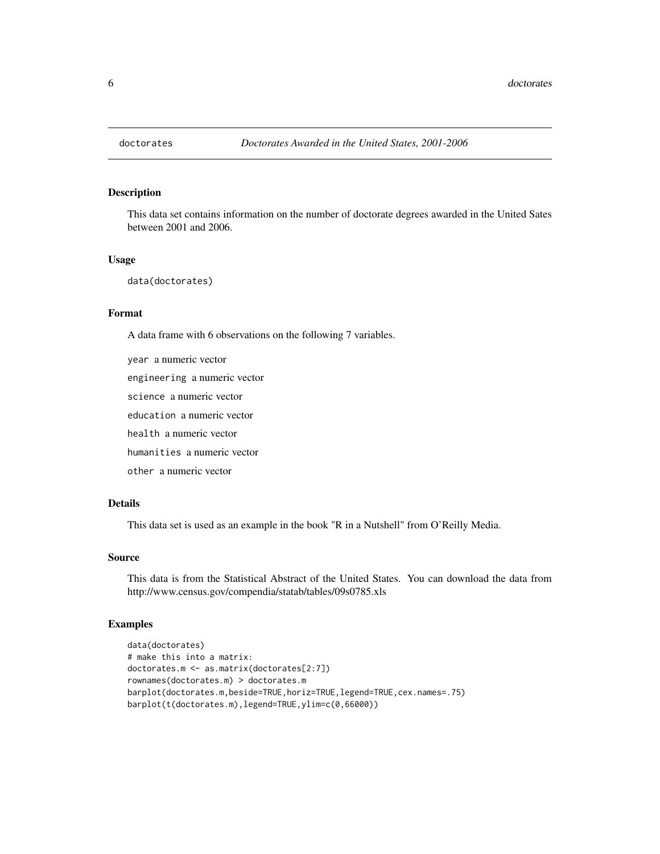<span id="page-5-0"></span>

This data set contains information on the number of doctorate degrees awarded in the United Sates between 2001 and 2006.

#### Usage

```
data(doctorates)
```
# Format

A data frame with 6 observations on the following 7 variables.

year a numeric vector engineering a numeric vector science a numeric vector education a numeric vector health a numeric vector humanities a numeric vector other a numeric vector

# Details

This data set is used as an example in the book "R in a Nutshell" from O'Reilly Media.

# Source

This data is from the Statistical Abstract of the United States. You can download the data from http://www.census.gov/compendia/statab/tables/09s0785.xls

```
data(doctorates)
# make this into a matrix:
doctorates.m <- as.matrix(doctorates[2:7])
rownames(doctorates.m) > doctorates.m
barplot(doctorates.m,beside=TRUE,horiz=TRUE,legend=TRUE,cex.names=.75)
barplot(t(doctorates.m),legend=TRUE,ylim=c(0,66000))
```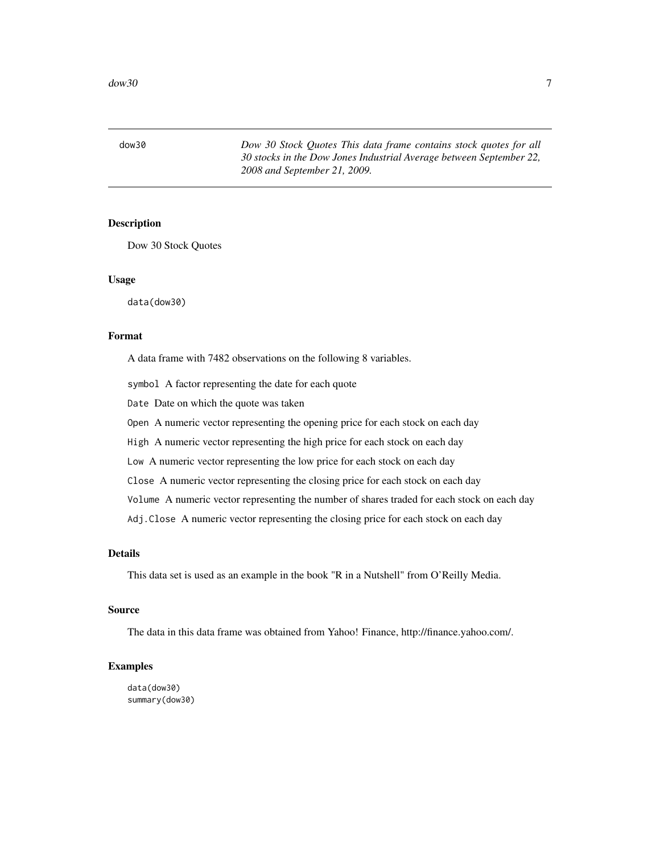<span id="page-6-0"></span>dow30 *Dow 30 Stock Quotes This data frame contains stock quotes for all 30 stocks in the Dow Jones Industrial Average between September 22, 2008 and September 21, 2009.*

#### Description

Dow 30 Stock Quotes

#### Usage

data(dow30)

# Format

A data frame with 7482 observations on the following 8 variables.

symbol A factor representing the date for each quote

Date Date on which the quote was taken

Open A numeric vector representing the opening price for each stock on each day

High A numeric vector representing the high price for each stock on each day

Low A numeric vector representing the low price for each stock on each day

Close A numeric vector representing the closing price for each stock on each day

Volume A numeric vector representing the number of shares traded for each stock on each day

Adj.Close A numeric vector representing the closing price for each stock on each day

# Details

This data set is used as an example in the book "R in a Nutshell" from O'Reilly Media.

#### Source

The data in this data frame was obtained from Yahoo! Finance, http://finance.yahoo.com/.

### Examples

data(dow30) summary(dow30)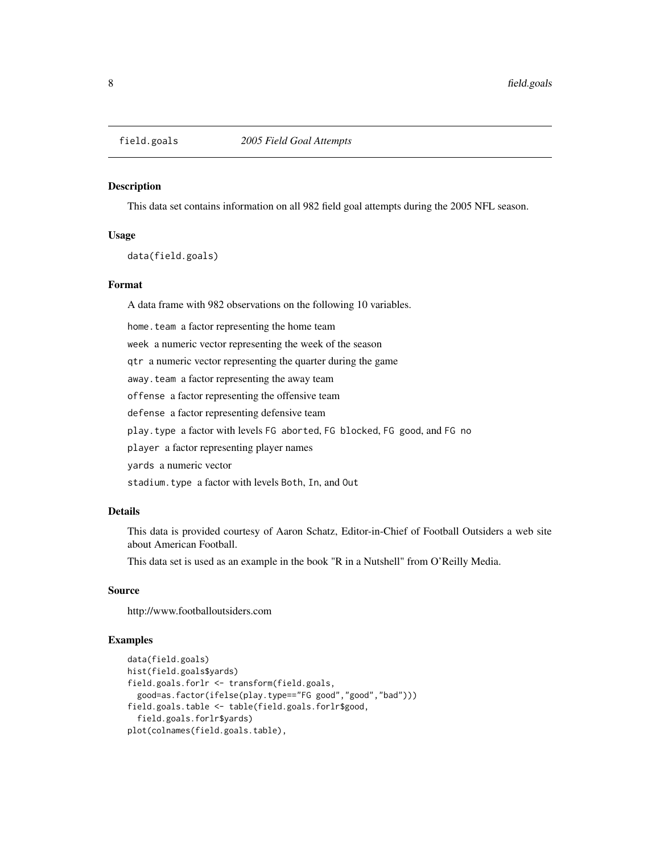This data set contains information on all 982 field goal attempts during the 2005 NFL season.

# Usage

data(field.goals)

#### Format

A data frame with 982 observations on the following 10 variables.

home. team a factor representing the home team

week a numeric vector representing the week of the season

qtr a numeric vector representing the quarter during the game

away.team a factor representing the away team

offense a factor representing the offensive team

defense a factor representing defensive team

play.type a factor with levels FG aborted, FG blocked, FG good, and FG no

player a factor representing player names

yards a numeric vector

stadium.type a factor with levels Both, In, and Out

# Details

This data is provided courtesy of Aaron Schatz, Editor-in-Chief of Football Outsiders a web site about American Football.

This data set is used as an example in the book "R in a Nutshell" from O'Reilly Media.

#### Source

http://www.footballoutsiders.com

```
data(field.goals)
hist(field.goals$yards)
field.goals.forlr <- transform(field.goals,
 good=as.factor(ifelse(play.type=="FG good","good","bad")))
field.goals.table <- table(field.goals.forlr$good,
 field.goals.forlr$yards)
plot(colnames(field.goals.table),
```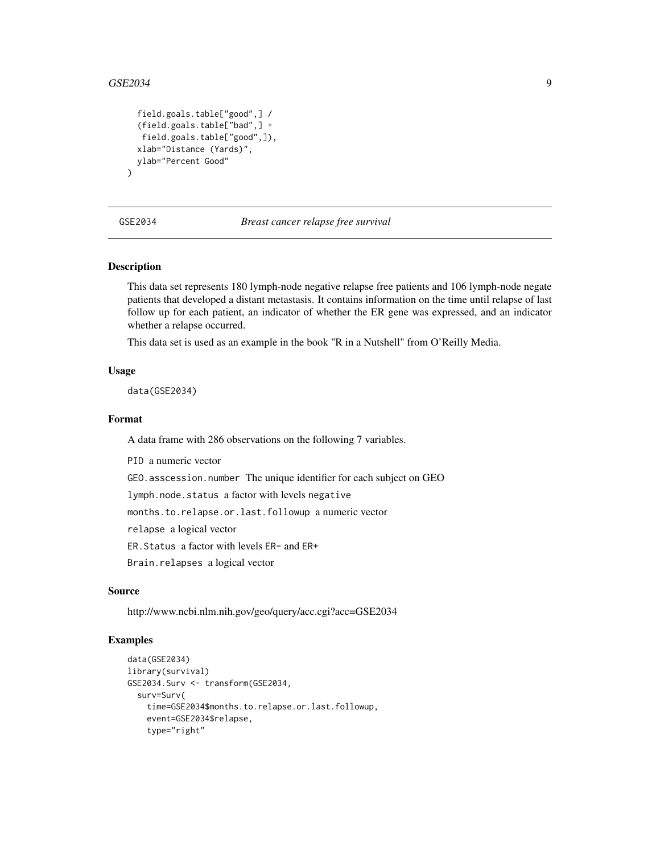$\mathcal{L}$ 

```
field.goals.table["good",] /
(field.goals.table["bad",] +
 field.goals.table["good",]),
xlab="Distance (Yards)",
ylab="Percent Good"
```
#### GSE2034 *Breast cancer relapse free survival*

### **Description**

This data set represents 180 lymph-node negative relapse free patients and 106 lymph-node negate patients that developed a distant metastasis. It contains information on the time until relapse of last follow up for each patient, an indicator of whether the ER gene was expressed, and an indicator whether a relapse occurred.

This data set is used as an example in the book "R in a Nutshell" from O'Reilly Media.

#### Usage

data(GSE2034)

#### Format

A data frame with 286 observations on the following 7 variables.

PID a numeric vector

GEO.asscession.number The unique identifier for each subject on GEO

lymph.node.status a factor with levels negative

months.to.relapse.or.last.followup a numeric vector

relapse a logical vector

ER.Status a factor with levels ER- and ER+

Brain.relapses a logical vector

#### Source

http://www.ncbi.nlm.nih.gov/geo/query/acc.cgi?acc=GSE2034

```
data(GSE2034)
library(survival)
GSE2034.Surv <- transform(GSE2034,
  surv=Surv(
    time=GSE2034$months.to.relapse.or.last.followup,
    event=GSE2034$relapse,
    type="right"
```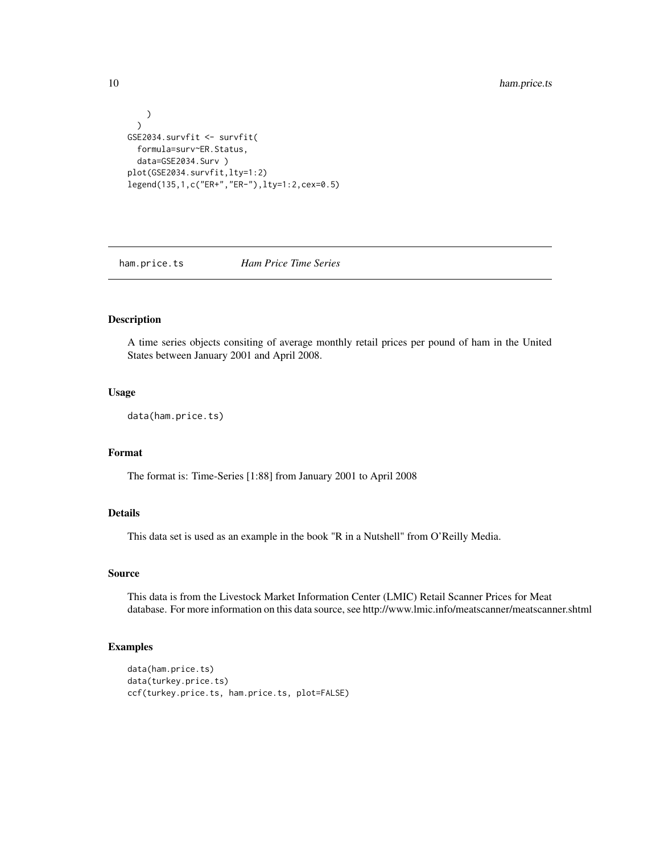```
)
  )
GSE2034.survfit <- survfit(
  formula=surv~ER.Status,
  data=GSE2034.Surv )
plot(GSE2034.survfit,lty=1:2)
legend(135,1,c("ER+","ER-"),lty=1:2,cex=0.5)
```
ham.price.ts *Ham Price Time Series*

# Description

A time series objects consiting of average monthly retail prices per pound of ham in the United States between January 2001 and April 2008.

#### Usage

data(ham.price.ts)

# Format

The format is: Time-Series [1:88] from January 2001 to April 2008

# Details

This data set is used as an example in the book "R in a Nutshell" from O'Reilly Media.

# Source

This data is from the Livestock Market Information Center (LMIC) Retail Scanner Prices for Meat database. For more information on this data source, see http://www.lmic.info/meatscanner/meatscanner.shtml

```
data(ham.price.ts)
data(turkey.price.ts)
ccf(turkey.price.ts, ham.price.ts, plot=FALSE)
```
<span id="page-9-0"></span>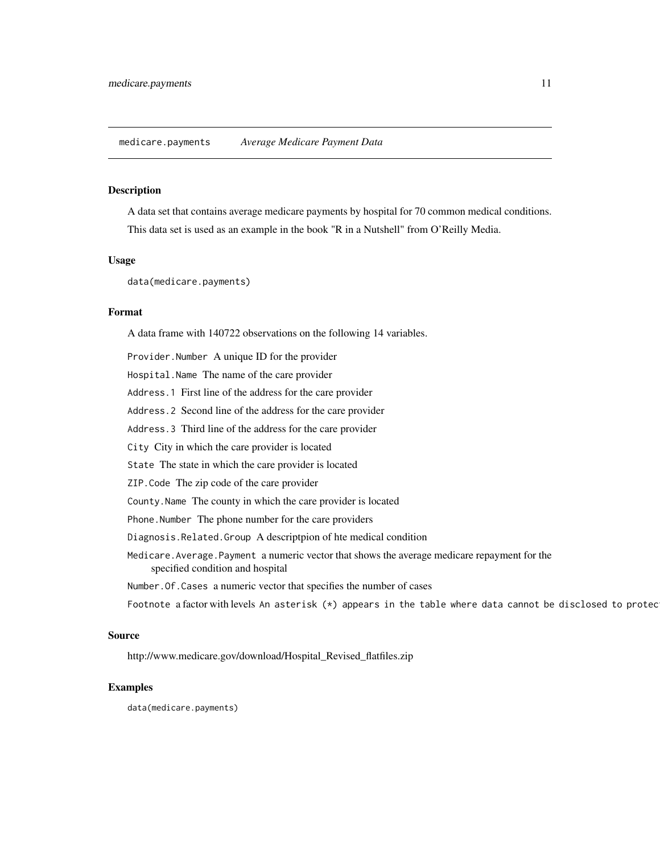<span id="page-10-0"></span>A data set that contains average medicare payments by hospital for 70 common medical conditions. This data set is used as an example in the book "R in a Nutshell" from O'Reilly Media.

# Usage

data(medicare.payments)

#### Format

A data frame with 140722 observations on the following 14 variables.

Provider.Number A unique ID for the provider

Hospital.Name The name of the care provider

Address.1 First line of the address for the care provider

Address.2 Second line of the address for the care provider

Address.3 Third line of the address for the care provider

City City in which the care provider is located

State The state in which the care provider is located

ZIP.Code The zip code of the care provider

County.Name The county in which the care provider is located

Phone. Number The phone number for the care providers

Diagnosis.Related.Group A descriptpion of hte medical condition

Medicare.Average.Payment a numeric vector that shows the average medicare repayment for the specified condition and hospital

Number.Of.Cases a numeric vector that specifies the number of cases

Footnote a factor with levels An asterisk (\*) appears in the table where data cannot be disclosed to protec

#### Source

http://www.medicare.gov/download/Hospital\_Revised\_flatfiles.zip

# Examples

data(medicare.payments)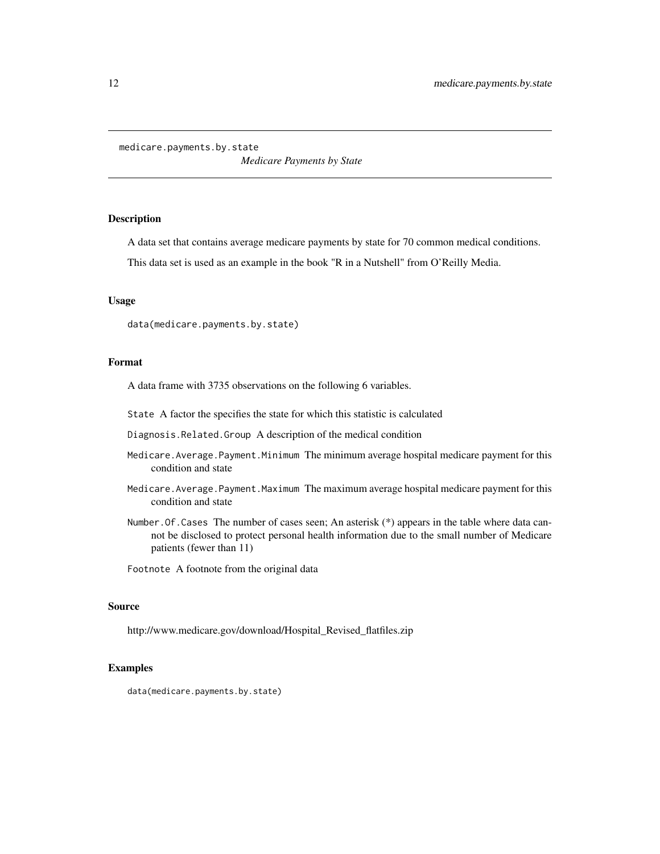<span id="page-11-0"></span>medicare.payments.by.state

*Medicare Payments by State*

#### Description

A data set that contains average medicare payments by state for 70 common medical conditions.

This data set is used as an example in the book "R in a Nutshell" from O'Reilly Media.

#### Usage

data(medicare.payments.by.state)

# Format

A data frame with 3735 observations on the following 6 variables.

State A factor the specifies the state for which this statistic is calculated

Diagnosis.Related.Group A description of the medical condition

- Medicare.Average.Payment.Minimum The minimum average hospital medicare payment for this condition and state
- Medicare.Average.Payment.Maximum The maximum average hospital medicare payment for this condition and state
- Number. Of. Cases The number of cases seen; An asterisk (\*) appears in the table where data cannot be disclosed to protect personal health information due to the small number of Medicare patients (fewer than 11)

Footnote A footnote from the original data

#### Source

http://www.medicare.gov/download/Hospital\_Revised\_flatfiles.zip

#### Examples

data(medicare.payments.by.state)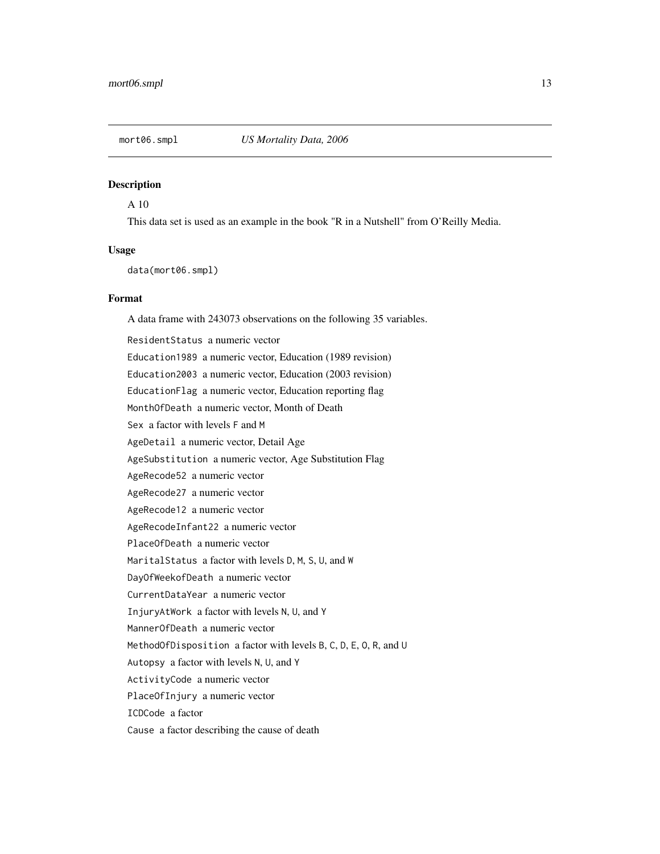<span id="page-12-0"></span>

A 10

This data set is used as an example in the book "R in a Nutshell" from O'Reilly Media.

#### Usage

data(mort06.smpl)

#### Format

A data frame with 243073 observations on the following 35 variables. ResidentStatus a numeric vector Education1989 a numeric vector, Education (1989 revision) Education2003 a numeric vector, Education (2003 revision) EducationFlag a numeric vector, Education reporting flag MonthOfDeath a numeric vector, Month of Death Sex a factor with levels F and M AgeDetail a numeric vector, Detail Age AgeSubstitution a numeric vector, Age Substitution Flag AgeRecode52 a numeric vector AgeRecode27 a numeric vector AgeRecode12 a numeric vector AgeRecodeInfant22 a numeric vector PlaceOfDeath a numeric vector MaritalStatus a factor with levels D, M, S, U, and W DayOfWeekofDeath a numeric vector CurrentDataYear a numeric vector InjuryAtWork a factor with levels N, U, and Y MannerOfDeath a numeric vector MethodOfDisposition a factor with levels B, C, D, E, O, R, and U Autopsy a factor with levels N, U, and Y ActivityCode a numeric vector PlaceOfInjury a numeric vector ICDCode a factor Cause a factor describing the cause of death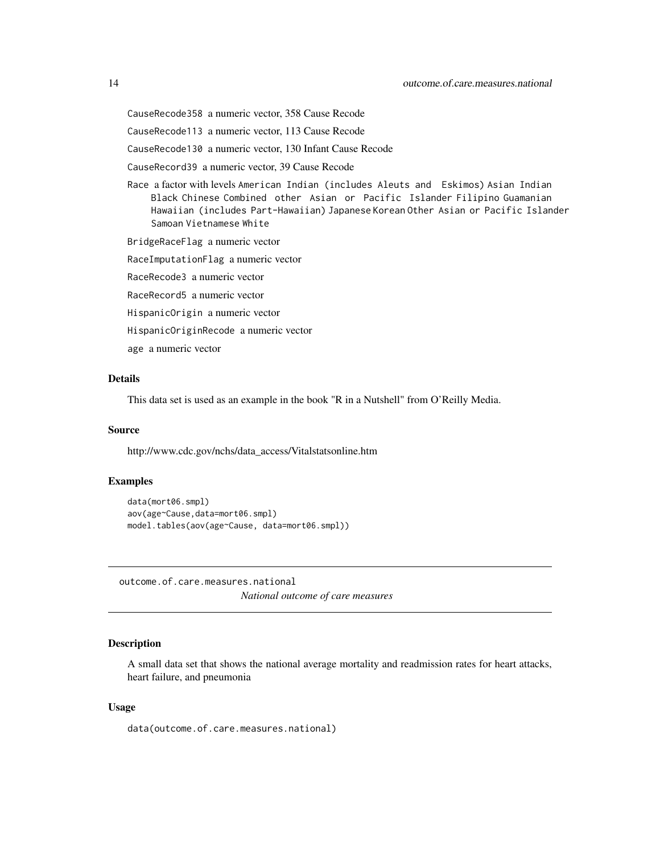<span id="page-13-0"></span>CauseRecode358 a numeric vector, 358 Cause Recode

CauseRecode113 a numeric vector, 113 Cause Recode

CauseRecode130 a numeric vector, 130 Infant Cause Recode

CauseRecord39 a numeric vector, 39 Cause Recode

Race a factor with levels American Indian (includes Aleuts and Eskimos) Asian Indian Black Chinese Combined other Asian or Pacific Islander Filipino Guamanian Hawaiian (includes Part-Hawaiian) Japanese Korean Other Asian or Pacific Islander Samoan Vietnamese White

BridgeRaceFlag a numeric vector

RaceImputationFlag a numeric vector

RaceRecode3 a numeric vector

RaceRecord5 a numeric vector

HispanicOrigin a numeric vector

HispanicOriginRecode a numeric vector

age a numeric vector

# Details

This data set is used as an example in the book "R in a Nutshell" from O'Reilly Media.

#### Source

http://www.cdc.gov/nchs/data\_access/Vitalstatsonline.htm

# Examples

```
data(mort06.smpl)
aov(age~Cause,data=mort06.smpl)
model.tables(aov(age~Cause, data=mort06.smpl))
```
outcome.of.care.measures.national *National outcome of care measures*

#### Description

A small data set that shows the national average mortality and readmission rates for heart attacks, heart failure, and pneumonia

#### Usage

data(outcome.of.care.measures.national)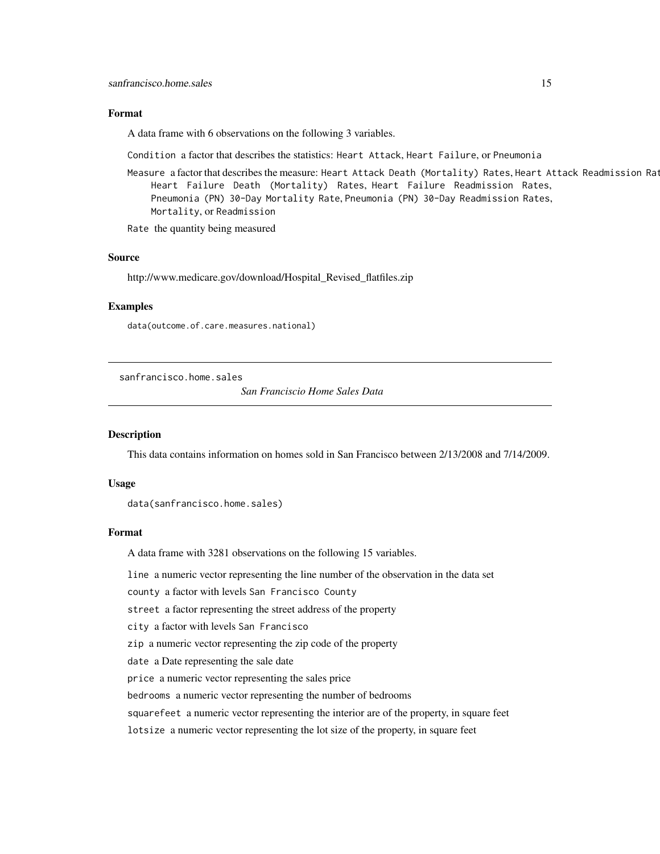#### <span id="page-14-0"></span>Format

A data frame with 6 observations on the following 3 variables.

Condition a factor that describes the statistics: Heart Attack, Heart Failure, or Pneumonia

Measure a factor that describes the measure: Heart Attack Death (Mortality) Rates, Heart Attack Readmission Rat Heart Failure Death (Mortality) Rates, Heart Failure Readmission Rates, Pneumonia (PN) 30-Day Mortality Rate, Pneumonia (PN) 30-Day Readmission Rates, Mortality, or Readmission

Rate the quantity being measured

#### Source

http://www.medicare.gov/download/Hospital\_Revised\_flatfiles.zip

## Examples

data(outcome.of.care.measures.national)

sanfrancisco.home.sales

*San Franciscio Home Sales Data*

#### Description

This data contains information on homes sold in San Francisco between 2/13/2008 and 7/14/2009.

#### Usage

data(sanfrancisco.home.sales)

#### Format

A data frame with 3281 observations on the following 15 variables.

line a numeric vector representing the line number of the observation in the data set

county a factor with levels San Francisco County

street a factor representing the street address of the property

city a factor with levels San Francisco

zip a numeric vector representing the zip code of the property

date a Date representing the sale date

price a numeric vector representing the sales price

bedrooms a numeric vector representing the number of bedrooms

squarefeet a numeric vector representing the interior are of the property, in square feet

lotsize a numeric vector representing the lot size of the property, in square feet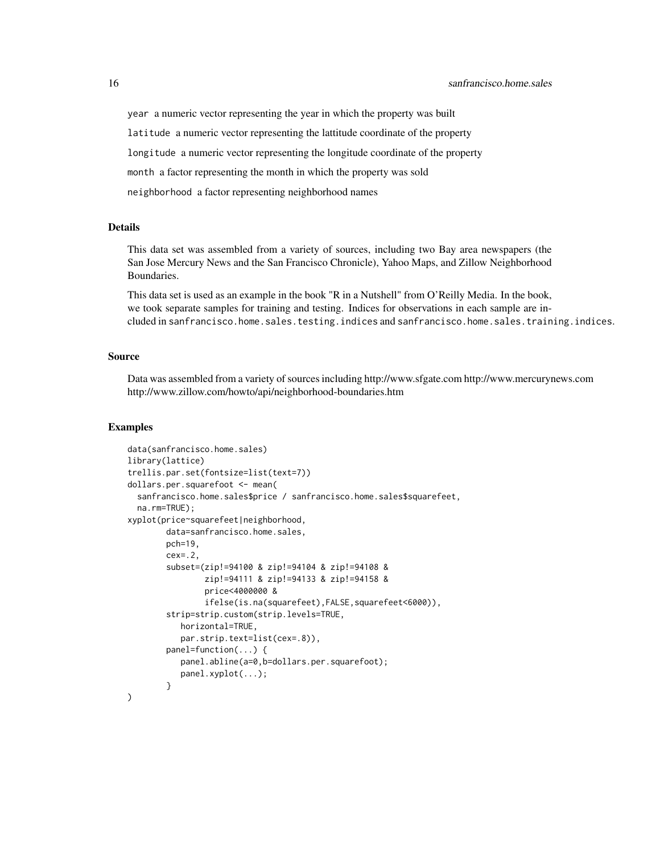year a numeric vector representing the year in which the property was built

latitude a numeric vector representing the lattitude coordinate of the property

longitude a numeric vector representing the longitude coordinate of the property

month a factor representing the month in which the property was sold

neighborhood a factor representing neighborhood names

#### Details

This data set was assembled from a variety of sources, including two Bay area newspapers (the San Jose Mercury News and the San Francisco Chronicle), Yahoo Maps, and Zillow Neighborhood Boundaries.

This data set is used as an example in the book "R in a Nutshell" from O'Reilly Media. In the book, we took separate samples for training and testing. Indices for observations in each sample are included in sanfrancisco.home.sales.testing.indices and sanfrancisco.home.sales.training.indices.

#### Source

Data was assembled from a variety of sources including http://www.sfgate.com http://www.mercurynews.com http://www.zillow.com/howto/api/neighborhood-boundaries.htm

```
data(sanfrancisco.home.sales)
library(lattice)
trellis.par.set(fontsize=list(text=7))
dollars.per.squarefoot <- mean(
 sanfrancisco.home.sales$price / sanfrancisco.home.sales$squarefeet,
 na.rm=TRUE);
xyplot(price~squarefeet|neighborhood,
        data=sanfrancisco.home.sales,
        pch=19,
        cex=.2,
        subset=(zip!=94100 & zip!=94104 & zip!=94108 &
                zip!=94111 & zip!=94133 & zip!=94158 &
                price<4000000 &
                ifelse(is.na(squarefeet),FALSE,squarefeet<6000)),
        strip=strip.custom(strip.levels=TRUE,
           horizontal=TRUE,
           par.strip.text=list(cex=.8)),
        panel=function(...) {
           panel.abline(a=0,b=dollars.per.squarefoot);
           panel.xyplot(...);
        }
)
```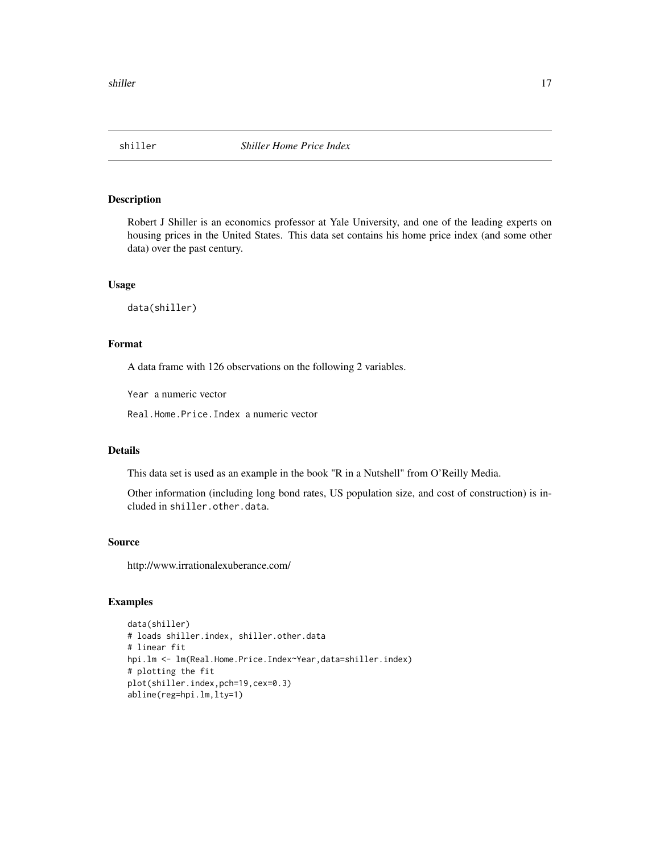<span id="page-16-0"></span>

Robert J Shiller is an economics professor at Yale University, and one of the leading experts on housing prices in the United States. This data set contains his home price index (and some other data) over the past century.

#### Usage

data(shiller)

# Format

A data frame with 126 observations on the following 2 variables.

Year a numeric vector

Real.Home.Price.Index a numeric vector

#### Details

This data set is used as an example in the book "R in a Nutshell" from O'Reilly Media.

Other information (including long bond rates, US population size, and cost of construction) is included in shiller.other.data.

#### Source

http://www.irrationalexuberance.com/

```
data(shiller)
# loads shiller.index, shiller.other.data
# linear fit
hpi.lm <- lm(Real.Home.Price.Index~Year,data=shiller.index)
# plotting the fit
plot(shiller.index,pch=19,cex=0.3)
abline(reg=hpi.lm,lty=1)
```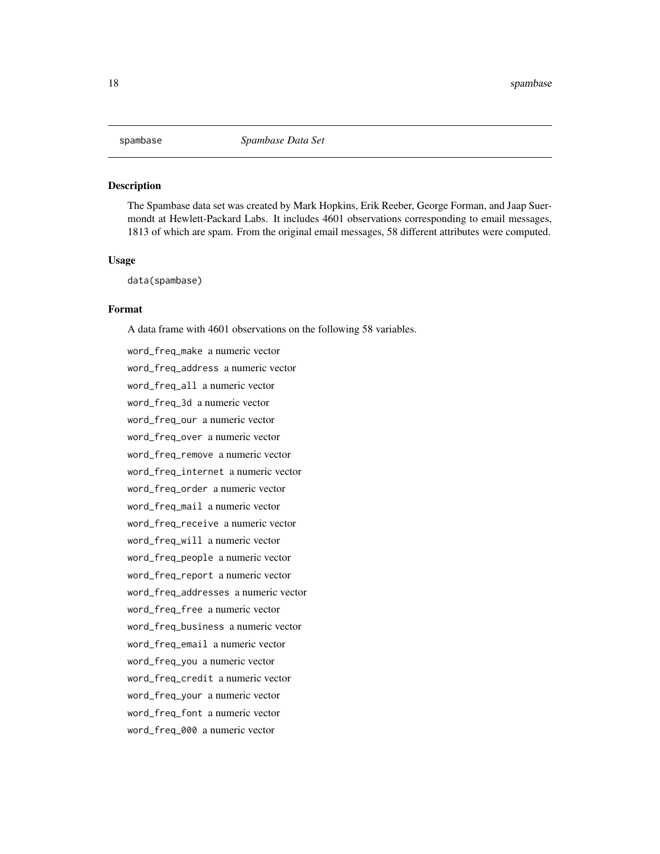<span id="page-17-0"></span>

The Spambase data set was created by Mark Hopkins, Erik Reeber, George Forman, and Jaap Suermondt at Hewlett-Packard Labs. It includes 4601 observations corresponding to email messages, 1813 of which are spam. From the original email messages, 58 different attributes were computed.

#### Usage

data(spambase)

#### Format

A data frame with 4601 observations on the following 58 variables.

word\_freq\_make a numeric vector word\_freq\_address a numeric vector word\_freq\_all a numeric vector word\_freq\_3d a numeric vector word\_freq\_our a numeric vector word\_freq\_over a numeric vector word\_freq\_remove a numeric vector word\_freq\_internet a numeric vector word\_freq\_order a numeric vector word\_freq\_mail a numeric vector word\_freq\_receive a numeric vector word\_freq\_will a numeric vector word\_freq\_people a numeric vector word\_freq\_report a numeric vector word\_freq\_addresses a numeric vector word\_freq\_free a numeric vector word\_freq\_business a numeric vector word\_freq\_email a numeric vector word\_freq\_you a numeric vector word\_freq\_credit a numeric vector word\_freq\_your a numeric vector word\_freq\_font a numeric vector word\_freq\_000 a numeric vector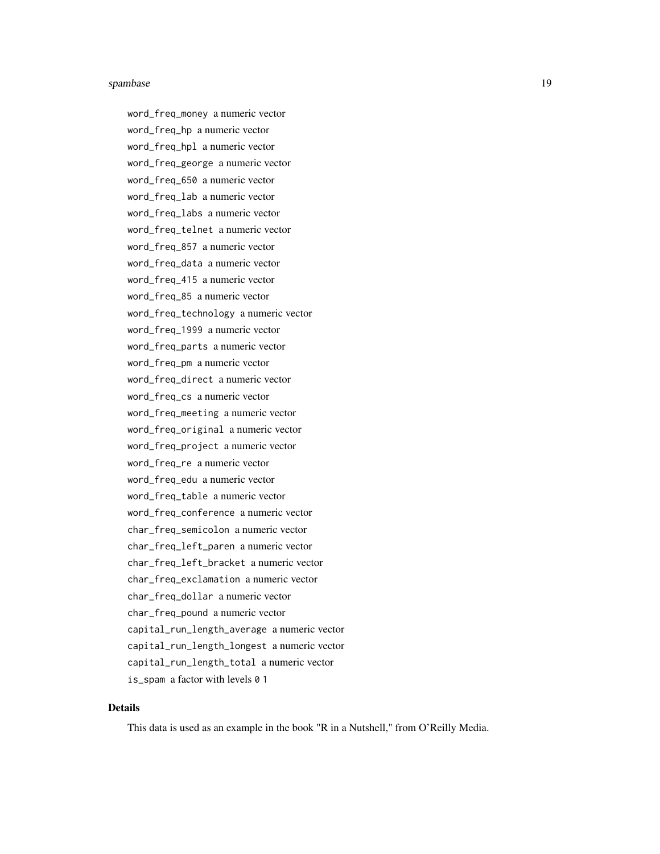#### spambase the contract of the set of the set of the set of the set of the set of the set of the set of the set of the set of the set of the set of the set of the set of the set of the set of the set of the set of the set of

word\_freq\_money a numeric vector word\_freq\_hp a numeric vector word\_freq\_hpl a numeric vector word\_freq\_george a numeric vector word\_freq\_650 a numeric vector word\_freq\_lab a numeric vector word\_freq\_labs a numeric vector word\_freq\_telnet a numeric vector word\_freq\_857 a numeric vector word\_freq\_data a numeric vector word\_freq\_415 a numeric vector word\_freq\_85 a numeric vector word\_freq\_technology a numeric vector word\_freq\_1999 a numeric vector word\_freq\_parts a numeric vector word\_freq\_pm a numeric vector word\_freq\_direct a numeric vector word\_freq\_cs a numeric vector word\_freq\_meeting a numeric vector word\_freq\_original a numeric vector word\_freq\_project a numeric vector word\_freq\_re a numeric vector word\_freq\_edu a numeric vector word\_freq\_table a numeric vector word\_freq\_conference a numeric vector char\_freq\_semicolon a numeric vector char\_freq\_left\_paren a numeric vector char\_freq\_left\_bracket a numeric vector char\_freq\_exclamation a numeric vector char\_freq\_dollar a numeric vector char\_freq\_pound a numeric vector capital\_run\_length\_average a numeric vector capital\_run\_length\_longest a numeric vector capital\_run\_length\_total a numeric vector is\_spam a factor with levels 0 1

# Details

This data is used as an example in the book "R in a Nutshell," from O'Reilly Media.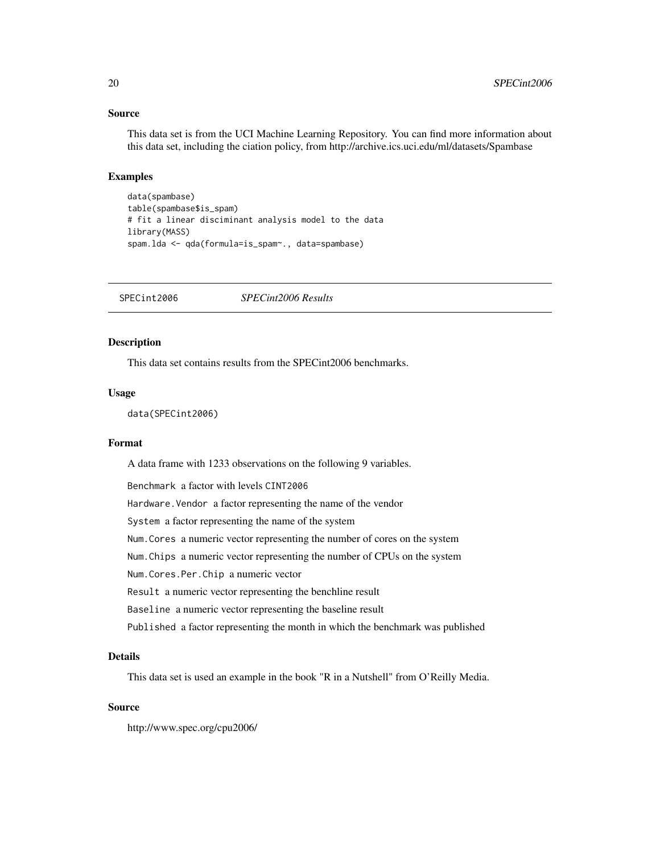#### <span id="page-19-0"></span>Source

This data set is from the UCI Machine Learning Repository. You can find more information about this data set, including the ciation policy, from http://archive.ics.uci.edu/ml/datasets/Spambase

# Examples

```
data(spambase)
table(spambase$is_spam)
# fit a linear disciminant analysis model to the data
library(MASS)
spam.lda <- qda(formula=is_spam~., data=spambase)
```
SPECint2006 *SPECint2006 Results*

#### Description

This data set contains results from the SPECint2006 benchmarks.

#### Usage

data(SPECint2006)

#### Format

A data frame with 1233 observations on the following 9 variables.

Benchmark a factor with levels CINT2006

Hardware. Vendor a factor representing the name of the vendor

System a factor representing the name of the system

Num.Cores a numeric vector representing the number of cores on the system

Num.Chips a numeric vector representing the number of CPUs on the system

Num.Cores.Per.Chip a numeric vector

Result a numeric vector representing the benchline result

Baseline a numeric vector representing the baseline result

Published a factor representing the month in which the benchmark was published

#### Details

This data set is used an example in the book "R in a Nutshell" from O'Reilly Media.

#### Source

http://www.spec.org/cpu2006/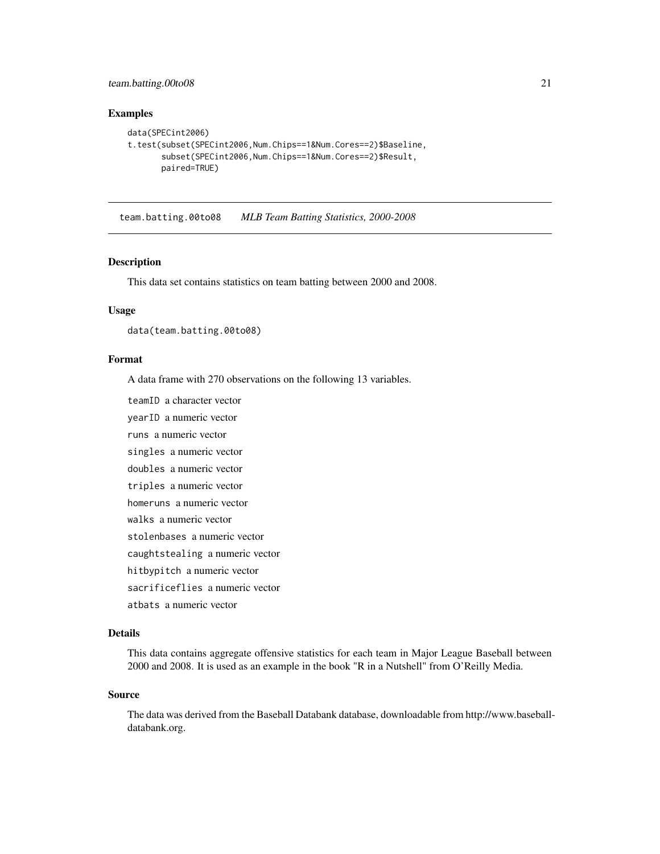# <span id="page-20-0"></span>team.batting.00to08 21

#### Examples

```
data(SPECint2006)
t.test(subset(SPECint2006,Num.Chips==1&Num.Cores==2)$Baseline,
      subset(SPECint2006,Num.Chips==1&Num.Cores==2)$Result,
      paired=TRUE)
```
team.batting.00to08 *MLB Team Batting Statistics, 2000-2008*

#### Description

This data set contains statistics on team batting between 2000 and 2008.

#### Usage

data(team.batting.00to08)

#### Format

A data frame with 270 observations on the following 13 variables.

teamID a character vector

yearID a numeric vector

runs a numeric vector

singles a numeric vector

doubles a numeric vector

triples a numeric vector

homeruns a numeric vector

- walks a numeric vector
- stolenbases a numeric vector

caughtstealing a numeric vector

hitbypitch a numeric vector

sacrificeflies a numeric vector

atbats a numeric vector

#### Details

This data contains aggregate offensive statistics for each team in Major League Baseball between 2000 and 2008. It is used as an example in the book "R in a Nutshell" from O'Reilly Media.

#### Source

The data was derived from the Baseball Databank database, downloadable from http://www.baseballdatabank.org.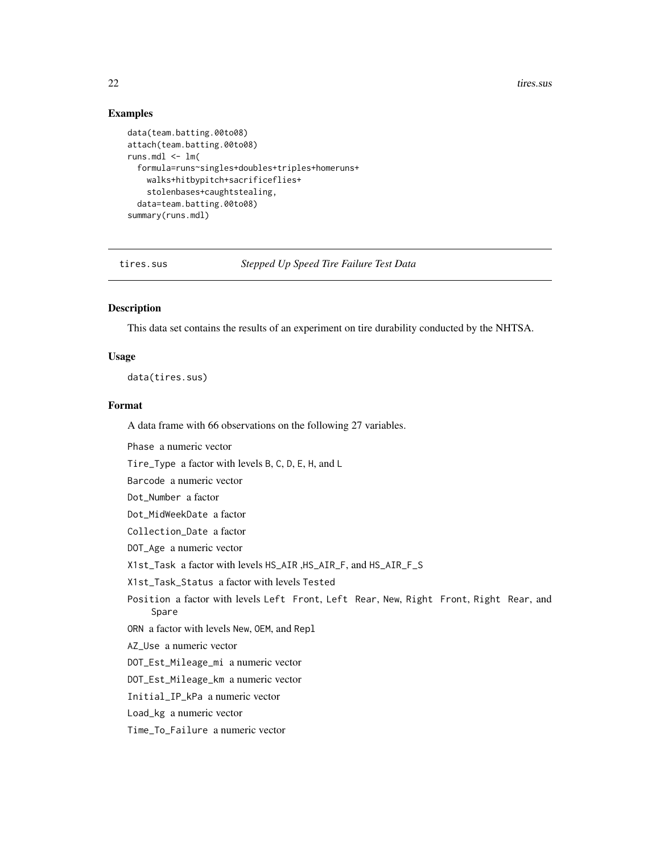22 tires.sus

# Examples

```
data(team.batting.00to08)
attach(team.batting.00to08)
runs.mdl \leq -\ln(formula=runs~singles+doubles+triples+homeruns+
   walks+hitbypitch+sacrificeflies+
   stolenbases+caughtstealing,
 data=team.batting.00to08)
summary(runs.mdl)
```
tires.sus *Stepped Up Speed Tire Failure Test Data*

# Description

This data set contains the results of an experiment on tire durability conducted by the NHTSA.

#### Usage

data(tires.sus)

#### Format

A data frame with 66 observations on the following 27 variables.

Phase a numeric vector

Tire\_Type a factor with levels B, C, D, E, H, and L

Barcode a numeric vector

Dot\_Number a factor

Dot\_MidWeekDate a factor

Collection\_Date a factor

DOT\_Age a numeric vector

X1st\_Task a factor with levels HS\_AIR ,HS\_AIR\_F, and HS\_AIR\_F\_S

X1st\_Task\_Status a factor with levels Tested

Position a factor with levels Left Front, Left Rear, New, Right Front, Right Rear, and Spare

ORN a factor with levels New, OEM, and Repl

AZ\_Use a numeric vector

DOT\_Est\_Mileage\_mi a numeric vector

DOT\_Est\_Mileage\_km a numeric vector

Initial\_IP\_kPa a numeric vector

Load\_kg a numeric vector

Time\_To\_Failure a numeric vector

<span id="page-21-0"></span>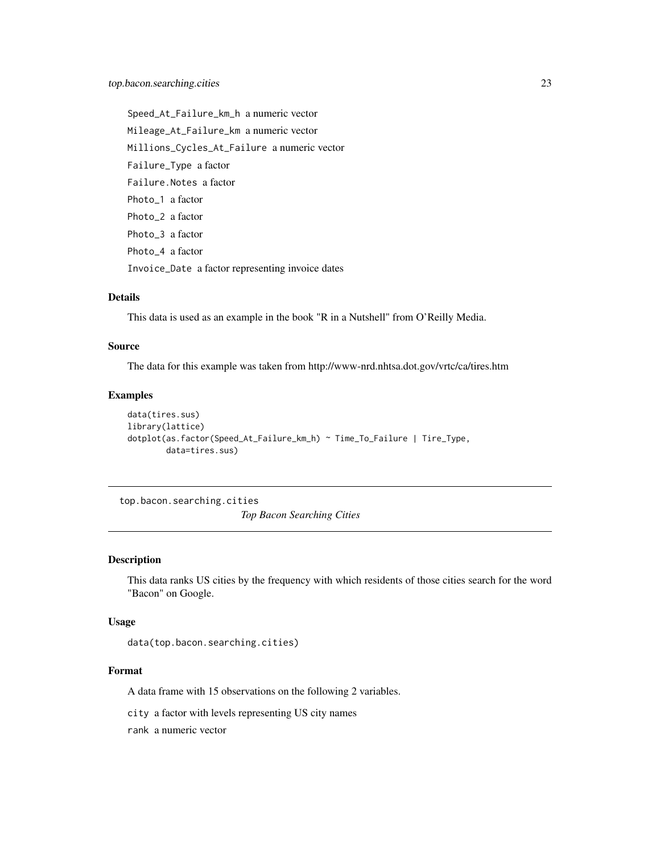<span id="page-22-0"></span>Speed\_At\_Failure\_km\_h a numeric vector Mileage\_At\_Failure\_km a numeric vector Millions\_Cycles\_At\_Failure a numeric vector Failure\_Type a factor Failure.Notes a factor Photo 1 a factor Photo\_2 a factor Photo\_3 a factor Photo\_4 a factor Invoice\_Date a factor representing invoice dates

#### Details

This data is used as an example in the book "R in a Nutshell" from O'Reilly Media.

#### Source

The data for this example was taken from http://www-nrd.nhtsa.dot.gov/vrtc/ca/tires.htm

#### Examples

```
data(tires.sus)
library(lattice)
dotplot(as.factor(Speed_At_Failure_km_h) ~ Time_To_Failure | Tire_Type,
        data=tires.sus)
```
top.bacon.searching.cities *Top Bacon Searching Cities*

#### Description

This data ranks US cities by the frequency with which residents of those cities search for the word "Bacon" on Google.

# Usage

data(top.bacon.searching.cities)

# Format

A data frame with 15 observations on the following 2 variables.

city a factor with levels representing US city names

rank a numeric vector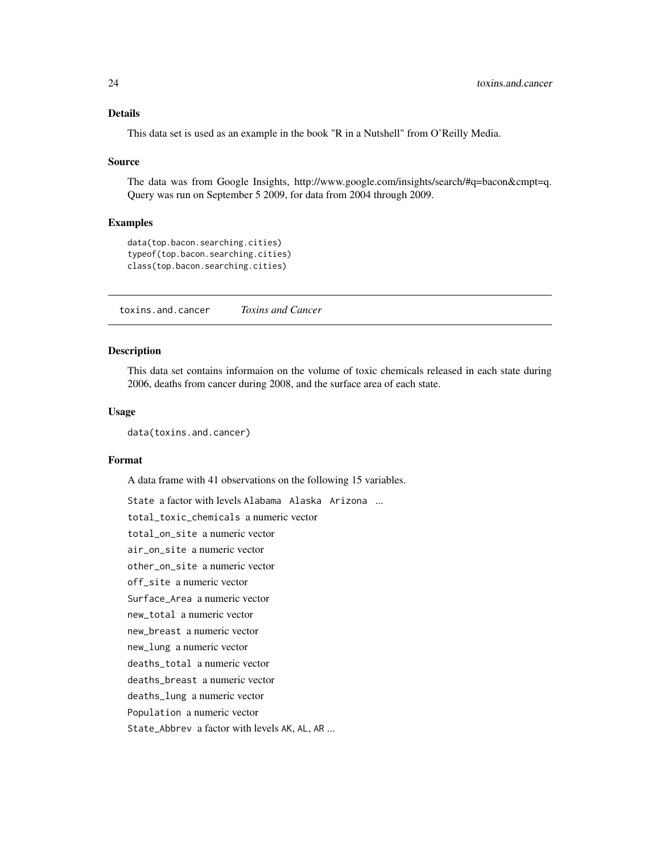# <span id="page-23-0"></span>Details

This data set is used as an example in the book "R in a Nutshell" from O'Reilly Media.

#### Source

The data was from Google Insights, http://www.google.com/insights/search/#q=bacon&cmpt=q. Query was run on September 5 2009, for data from 2004 through 2009.

#### Examples

```
data(top.bacon.searching.cities)
typeof(top.bacon.searching.cities)
class(top.bacon.searching.cities)
```
toxins.and.cancer *Toxins and Cancer*

# Description

This data set contains informaion on the volume of toxic chemicals released in each state during 2006, deaths from cancer during 2008, and the surface area of each state.

#### Usage

data(toxins.and.cancer)

# Format

A data frame with 41 observations on the following 15 variables.

State a factor with levels Alabama Alaska Arizona ... total\_toxic\_chemicals a numeric vector total\_on\_site a numeric vector air\_on\_site a numeric vector other\_on\_site a numeric vector off\_site a numeric vector Surface\_Area a numeric vector new\_total a numeric vector new\_breast a numeric vector new\_lung a numeric vector deaths\_total a numeric vector deaths\_breast a numeric vector deaths\_lung a numeric vector Population a numeric vector State\_Abbrev a factor with levels AK, AL, AR ...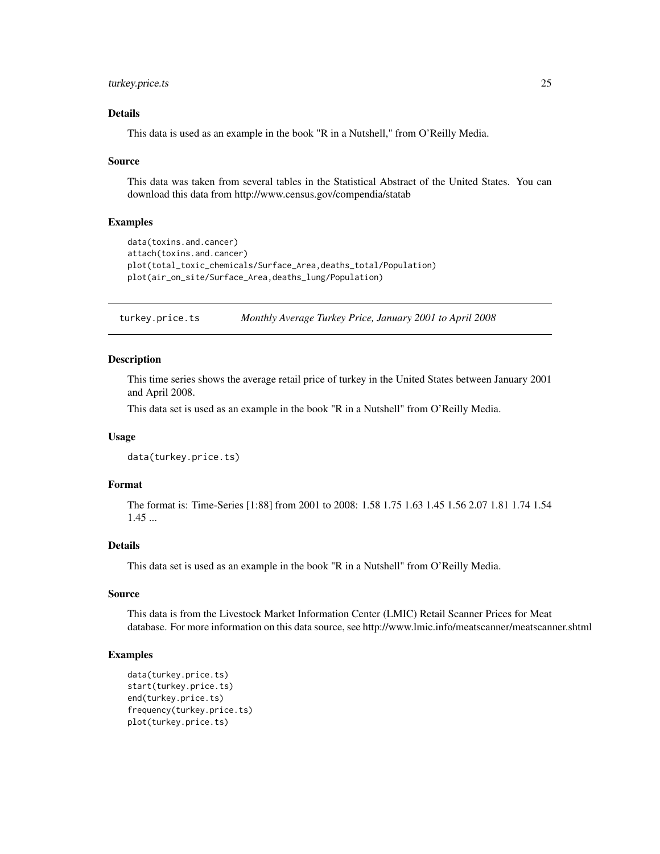# <span id="page-24-0"></span>turkey.price.ts 25

# Details

This data is used as an example in the book "R in a Nutshell," from O'Reilly Media.

#### Source

This data was taken from several tables in the Statistical Abstract of the United States. You can download this data from http://www.census.gov/compendia/statab

#### Examples

```
data(toxins.and.cancer)
attach(toxins.and.cancer)
plot(total_toxic_chemicals/Surface_Area,deaths_total/Population)
plot(air_on_site/Surface_Area,deaths_lung/Population)
```
turkey.price.ts *Monthly Average Turkey Price, January 2001 to April 2008*

#### Description

This time series shows the average retail price of turkey in the United States between January 2001 and April 2008.

This data set is used as an example in the book "R in a Nutshell" from O'Reilly Media.

#### Usage

```
data(turkey.price.ts)
```
# Format

The format is: Time-Series [1:88] from 2001 to 2008: 1.58 1.75 1.63 1.45 1.56 2.07 1.81 1.74 1.54 1.45 ...

# Details

This data set is used as an example in the book "R in a Nutshell" from O'Reilly Media.

#### Source

This data is from the Livestock Market Information Center (LMIC) Retail Scanner Prices for Meat database. For more information on this data source, see http://www.lmic.info/meatscanner/meatscanner.shtml

```
data(turkey.price.ts)
start(turkey.price.ts)
end(turkey.price.ts)
frequency(turkey.price.ts)
plot(turkey.price.ts)
```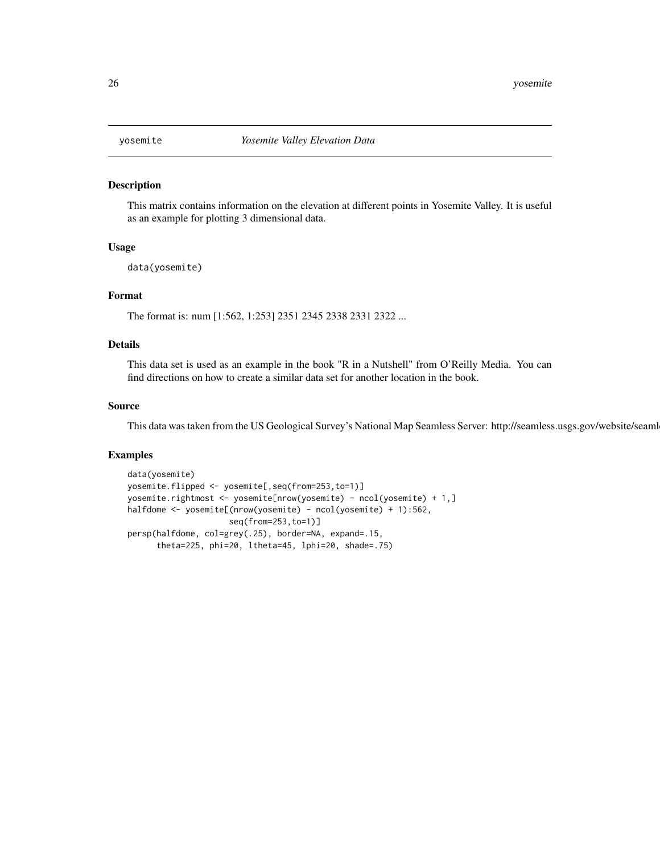<span id="page-25-0"></span>

This matrix contains information on the elevation at different points in Yosemite Valley. It is useful as an example for plotting 3 dimensional data.

#### Usage

data(yosemite)

# Format

The format is: num [1:562, 1:253] 2351 2345 2338 2331 2322 ...

# Details

This data set is used as an example in the book "R in a Nutshell" from O'Reilly Media. You can find directions on how to create a similar data set for another location in the book.

#### Source

This data was taken from the US Geological Survey's National Map Seamless Server: http://seamless.usgs.gov/website/seaml

```
data(yosemite)
yosemite.flipped <- yosemite[,seq(from=253,to=1)]
yosemite.rightmost <- yosemite[nrow(yosemite) - ncol(yosemite) + 1,]
halfdome <- yosemite[(nrow(yosemite) - ncol(yosemite) + 1):562,
                     seq(from=253,to=1)]
persp(halfdome, col=grey(.25), border=NA, expand=.15,
      theta=225, phi=20, ltheta=45, lphi=20, shade=.75)
```